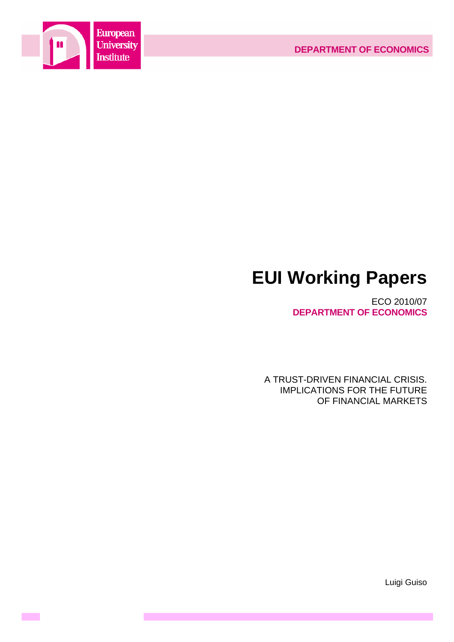



# **EUI Working Papers**

ECO 2010/07 **DEPARTMENT OF ECONOMICS**

A TRUST-DRIVEN FINANCIAL CRISIS. IMPLICATIONS FOR THE FUTURE OF FINANCIAL MARKETS

Luigi Guiso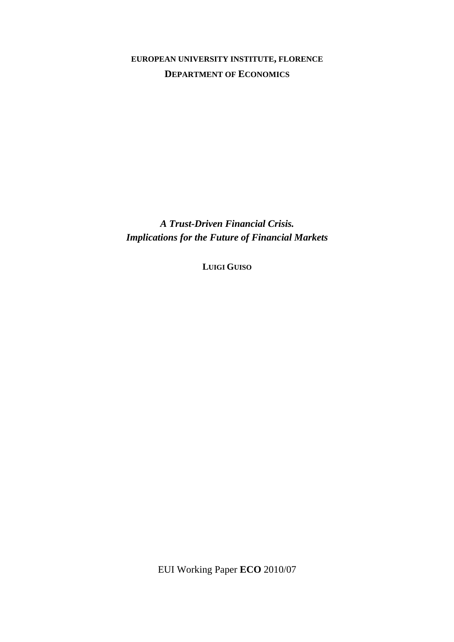# **EUROPEAN UNIVERSITY INSTITUTE, FLORENCE DEPARTMENT OF ECONOMICS**

*A Trust-Driven Financial Crisis. Implications for the Future of Financial Markets* 

**LUIGI GUISO**

EUI Working Paper **ECO** 2010/07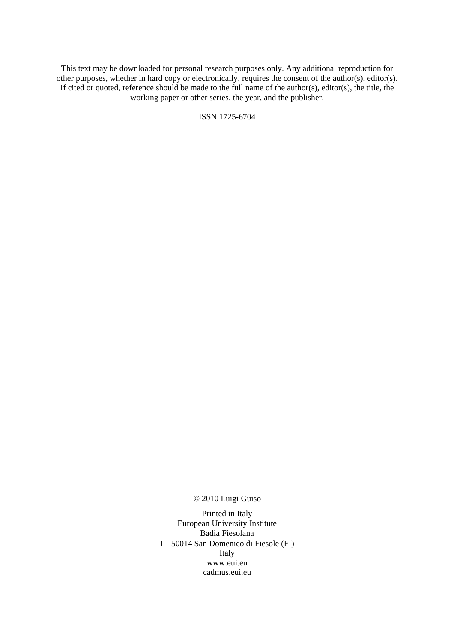This text may be downloaded for personal research purposes only. Any additional reproduction for other purposes, whether in hard copy or electronically, requires the consent of the author(s), editor(s). If cited or quoted, reference should be made to the full name of the author(s), editor(s), the title, the working paper or other series, the year, and the publisher.

ISSN 1725-6704

© 2010 Luigi Guiso

Printed in Italy European University Institute Badia Fiesolana I – 50014 San Domenico di Fiesole (FI) Italy [www.eui.eu](http://www.eui.eu/)  [cadmus.eui.eu](http://www.eui.eu/)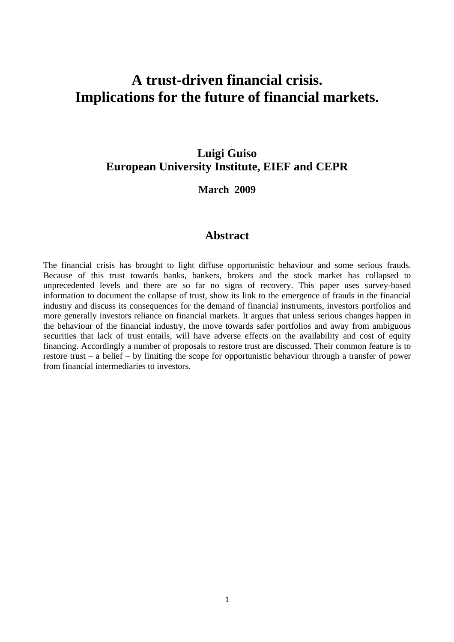# **A trust-driven financial crisis. Implications for the future of financial markets.**

# **Luigi Guiso European University Institute, EIEF and CEPR**

# **March 2009**

### **Abstract**

The financial crisis has brought to light diffuse opportunistic behaviour and some serious frauds. Because of this trust towards banks, bankers, brokers and the stock market has collapsed to unprecedented levels and there are so far no signs of recovery. This paper uses survey-based information to document the collapse of trust, show its link to the emergence of frauds in the financial industry and discuss its consequences for the demand of financial instruments, investors portfolios and more generally investors reliance on financial markets. It argues that unless serious changes happen in the behaviour of the financial industry, the move towards safer portfolios and away from ambiguous securities that lack of trust entails, will have adverse effects on the availability and cost of equity financing. Accordingly a number of proposals to restore trust are discussed. Their common feature is to restore trust – a belief – by limiting the scope for opportunistic behaviour through a transfer of power from financial intermediaries to investors.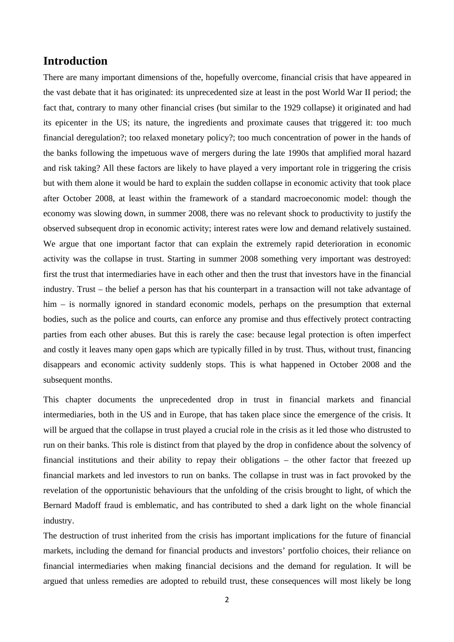### **Introduction**

There are many important dimensions of the, hopefully overcome, financial crisis that have appeared in the vast debate that it has originated: its unprecedented size at least in the post World War II period; the fact that, contrary to many other financial crises (but similar to the 1929 collapse) it originated and had its epicenter in the US; its nature, the ingredients and proximate causes that triggered it: too much financial deregulation?; too relaxed monetary policy?; too much concentration of power in the hands of the banks following the impetuous wave of mergers during the late 1990s that amplified moral hazard and risk taking? All these factors are likely to have played a very important role in triggering the crisis but with them alone it would be hard to explain the sudden collapse in economic activity that took place after October 2008, at least within the framework of a standard macroeconomic model: though the economy was slowing down, in summer 2008, there was no relevant shock to productivity to justify the observed subsequent drop in economic activity; interest rates were low and demand relatively sustained. We argue that one important factor that can explain the extremely rapid deterioration in economic activity was the collapse in trust. Starting in summer 2008 something very important was destroyed: first the trust that intermediaries have in each other and then the trust that investors have in the financial industry. Trust – the belief a person has that his counterpart in a transaction will not take advantage of him – is normally ignored in standard economic models, perhaps on the presumption that external bodies, such as the police and courts, can enforce any promise and thus effectively protect contracting parties from each other abuses. But this is rarely the case: because legal protection is often imperfect and costly it leaves many open gaps which are typically filled in by trust. Thus, without trust, financing disappears and economic activity suddenly stops. This is what happened in October 2008 and the subsequent months.

This chapter documents the unprecedented drop in trust in financial markets and financial intermediaries, both in the US and in Europe, that has taken place since the emergence of the crisis. It will be argued that the collapse in trust played a crucial role in the crisis as it led those who distrusted to run on their banks. This role is distinct from that played by the drop in confidence about the solvency of financial institutions and their ability to repay their obligations – the other factor that freezed up financial markets and led investors to run on banks. The collapse in trust was in fact provoked by the revelation of the opportunistic behaviours that the unfolding of the crisis brought to light, of which the Bernard Madoff fraud is emblematic, and has contributed to shed a dark light on the whole financial industry.

The destruction of trust inherited from the crisis has important implications for the future of financial markets, including the demand for financial products and investors' portfolio choices, their reliance on financial intermediaries when making financial decisions and the demand for regulation. It will be argued that unless remedies are adopted to rebuild trust, these consequences will most likely be long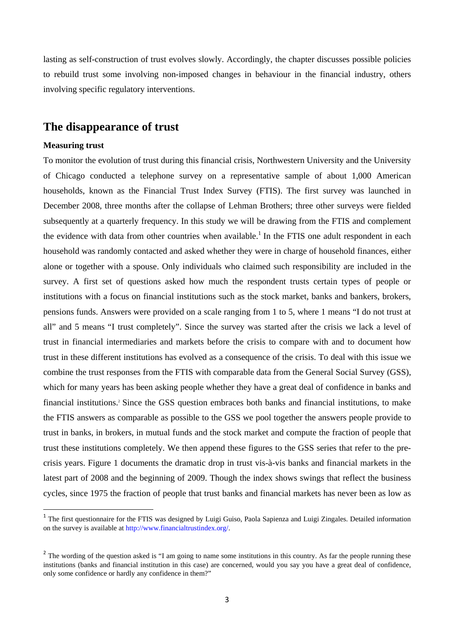lasting as self-construction of trust evolves slowly. Accordingly, the chapter discusses possible policies to rebuild trust some involving non-imposed changes in behaviour in the financial industry, others involving specific regulatory interventions.

### **The disappearance of trust**

#### **Measuring trust**

To monitor the evolution of trust during this financial crisis, Northwestern University and the University of Chicago conducted a telephone survey on a representative sample of about 1,000 American households, known as the Financial Trust Index Survey (FTIS). The first survey was launched in December 2008, three months after the collapse of Lehman Brothers; three other surveys were fielded subsequently at a quarterly frequency. In this study we will be drawing from the FTIS and complement the evidence with data from other countries when available.<sup>1</sup> In the FTIS one adult respondent in each household was randomly contacted and asked whether they were in charge of household finances, either alone or together with a spouse. Only individuals who claimed such responsibility are included in the survey. A first set of questions asked how much the respondent trusts certain types of people or institutions with a focus on financial institutions such as the stock market, banks and bankers, brokers, pensions funds. Answers were provided on a scale ranging from 1 to 5, where 1 means "I do not trust at all" and 5 means "I trust completely". Since the survey was started after the crisis we lack a level of trust in financial intermediaries and markets before the crisis to compare with and to document how trust in these different institutions has evolved as a consequence of the crisis. To deal with this issue we combine the trust responses from the FTIS with comparable data from the General Social Survey (GSS), which for many years has been asking people whether they have a great deal of confidence in banks and financial institutions.2 Since the GSS question embraces both banks and financial institutions, to make the FTIS answers as comparable as possible to the GSS we pool together the answers people provide to trust in banks, in brokers, in mutual funds and the stock market and compute the fraction of people that trust these institutions completely. We then append these figures to the GSS series that refer to the precrisis years. Figure 1 documents the dramatic drop in trust vis-à-vis banks and financial markets in the latest part of 2008 and the beginning of 2009. Though the index shows swings that reflect the business cycles, since 1975 the fraction of people that trust banks and financial markets has never been as low as

<sup>&</sup>lt;sup>1</sup> The first questionnaire for the FTIS was designed by Luigi Guiso, Paola Sapienza and Luigi Zingales. Detailed information on the survey is available at http://www.financialtrustindex.org/.

<sup>&</sup>lt;sup>2</sup> The wording of the question asked is "I am going to name some institutions in this country. As far the people running these institutions (banks and financial institution in this case) are concerned, would you say you have a great deal of confidence, only some confidence or hardly any confidence in them?"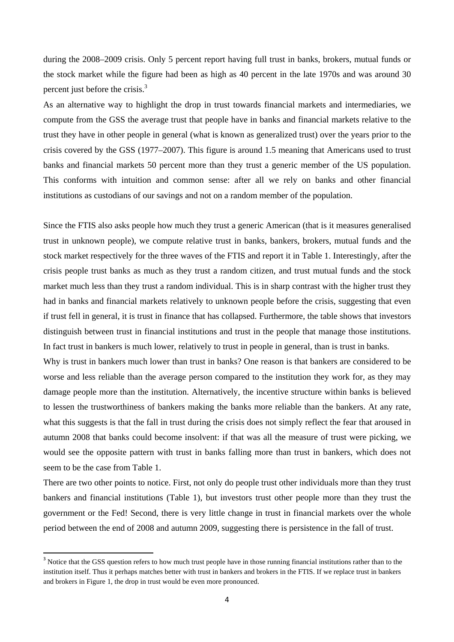during the 2008–2009 crisis. Only 5 percent report having full trust in banks, brokers, mutual funds or the stock market while the figure had been as high as 40 percent in the late 1970s and was around 30 percent just before the crisis.<sup>3</sup>

As an alternative way to highlight the drop in trust towards financial markets and intermediaries, we compute from the GSS the average trust that people have in banks and financial markets relative to the trust they have in other people in general (what is known as generalized trust) over the years prior to the crisis covered by the GSS (1977–2007). This figure is around 1.5 meaning that Americans used to trust banks and financial markets 50 percent more than they trust a generic member of the US population. This conforms with intuition and common sense: after all we rely on banks and other financial institutions as custodians of our savings and not on a random member of the population.

Since the FTIS also asks people how much they trust a generic American (that is it measures generalised trust in unknown people), we compute relative trust in banks, bankers, brokers, mutual funds and the stock market respectively for the three waves of the FTIS and report it in Table 1. Interestingly, after the crisis people trust banks as much as they trust a random citizen, and trust mutual funds and the stock market much less than they trust a random individual. This is in sharp contrast with the higher trust they had in banks and financial markets relatively to unknown people before the crisis, suggesting that even if trust fell in general, it is trust in finance that has collapsed. Furthermore, the table shows that investors distinguish between trust in financial institutions and trust in the people that manage those institutions. In fact trust in bankers is much lower, relatively to trust in people in general, than is trust in banks.

Why is trust in bankers much lower than trust in banks? One reason is that bankers are considered to be worse and less reliable than the average person compared to the institution they work for, as they may damage people more than the institution. Alternatively, the incentive structure within banks is believed to lessen the trustworthiness of bankers making the banks more reliable than the bankers. At any rate, what this suggests is that the fall in trust during the crisis does not simply reflect the fear that aroused in autumn 2008 that banks could become insolvent: if that was all the measure of trust were picking, we would see the opposite pattern with trust in banks falling more than trust in bankers, which does not seem to be the case from Table 1.

There are two other points to notice. First, not only do people trust other individuals more than they trust bankers and financial institutions (Table 1), but investors trust other people more than they trust the government or the Fed! Second, there is very little change in trust in financial markets over the whole period between the end of 2008 and autumn 2009, suggesting there is persistence in the fall of trust.

<sup>&</sup>lt;sup>3</sup> Notice that the GSS question refers to how much trust people have in those running financial institutions rather than to the institution itself. Thus it perhaps matches better with trust in bankers and brokers in the FTIS. If we replace trust in bankers and brokers in Figure 1, the drop in trust would be even more pronounced.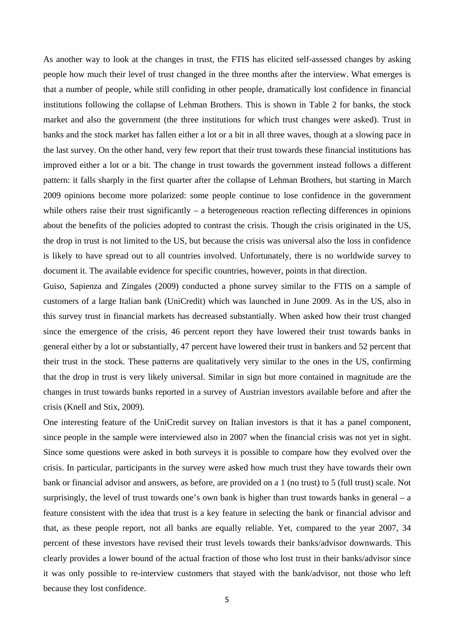As another way to look at the changes in trust, the FTIS has elicited self-assessed changes by asking people how much their level of trust changed in the three months after the interview. What emerges is that a number of people, while still confiding in other people, dramatically lost confidence in financial institutions following the collapse of Lehman Brothers. This is shown in Table 2 for banks, the stock market and also the government (the three institutions for which trust changes were asked). Trust in banks and the stock market has fallen either a lot or a bit in all three waves, though at a slowing pace in the last survey. On the other hand, very few report that their trust towards these financial institutions has improved either a lot or a bit. The change in trust towards the government instead follows a different pattern: it falls sharply in the first quarter after the collapse of Lehman Brothers, but starting in March 2009 opinions become more polarized: some people continue to lose confidence in the government while others raise their trust significantly  $-$  a heterogeneous reaction reflecting differences in opinions about the benefits of the policies adopted to contrast the crisis. Though the crisis originated in the US, the drop in trust is not limited to the US, but because the crisis was universal also the loss in confidence is likely to have spread out to all countries involved. Unfortunately, there is no worldwide survey to document it. The available evidence for specific countries, however, points in that direction.

Guiso, Sapienza and Zingales (2009) conducted a phone survey similar to the FTIS on a sample of customers of a large Italian bank (UniCredit) which was launched in June 2009. As in the US, also in this survey trust in financial markets has decreased substantially. When asked how their trust changed since the emergence of the crisis, 46 percent report they have lowered their trust towards banks in general either by a lot or substantially, 47 percent have lowered their trust in bankers and 52 percent that their trust in the stock. These patterns are qualitatively very similar to the ones in the US, confirming that the drop in trust is very likely universal. Similar in sign but more contained in magnitude are the changes in trust towards banks reported in a survey of Austrian investors available before and after the crisis (Knell and Stix, 2009).

One interesting feature of the UniCredit survey on Italian investors is that it has a panel component, since people in the sample were interviewed also in 2007 when the financial crisis was not yet in sight. Since some questions were asked in both surveys it is possible to compare how they evolved over the crisis. In particular, participants in the survey were asked how much trust they have towards their own bank or financial advisor and answers, as before, are provided on a 1 (no trust) to 5 (full trust) scale. Not surprisingly, the level of trust towards one's own bank is higher than trust towards banks in general  $-$  a feature consistent with the idea that trust is a key feature in selecting the bank or financial advisor and that, as these people report, not all banks are equally reliable. Yet, compared to the year 2007, 34 percent of these investors have revised their trust levels towards their banks/advisor downwards. This clearly provides a lower bound of the actual fraction of those who lost trust in their banks/advisor since it was only possible to re-interview customers that stayed with the bank/advisor, not those who left because they lost confidence.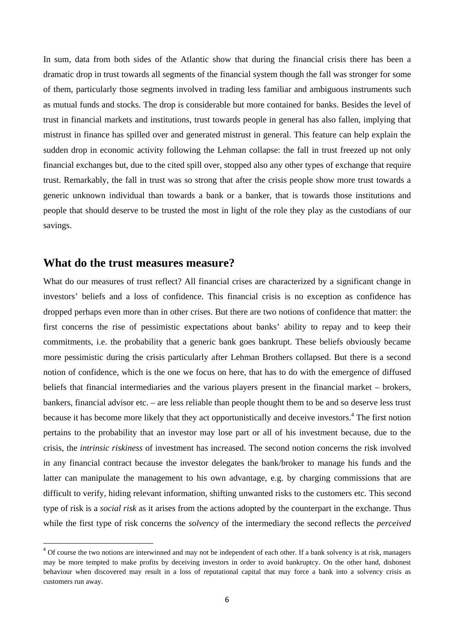In sum, data from both sides of the Atlantic show that during the financial crisis there has been a dramatic drop in trust towards all segments of the financial system though the fall was stronger for some of them, particularly those segments involved in trading less familiar and ambiguous instruments such as mutual funds and stocks. The drop is considerable but more contained for banks. Besides the level of trust in financial markets and institutions, trust towards people in general has also fallen, implying that mistrust in finance has spilled over and generated mistrust in general. This feature can help explain the sudden drop in economic activity following the Lehman collapse: the fall in trust freezed up not only financial exchanges but, due to the cited spill over, stopped also any other types of exchange that require trust. Remarkably, the fall in trust was so strong that after the crisis people show more trust towards a generic unknown individual than towards a bank or a banker, that is towards those institutions and people that should deserve to be trusted the most in light of the role they play as the custodians of our savings.

#### **What do the trust measures measure?**

What do our measures of trust reflect? All financial crises are characterized by a significant change in investors' beliefs and a loss of confidence. This financial crisis is no exception as confidence has dropped perhaps even more than in other crises. But there are two notions of confidence that matter: the first concerns the rise of pessimistic expectations about banks' ability to repay and to keep their commitments, i.e. the probability that a generic bank goes bankrupt. These beliefs obviously became more pessimistic during the crisis particularly after Lehman Brothers collapsed. But there is a second notion of confidence, which is the one we focus on here, that has to do with the emergence of diffused beliefs that financial intermediaries and the various players present in the financial market – brokers, bankers, financial advisor etc. – are less reliable than people thought them to be and so deserve less trust because it has become more likely that they act opportunistically and deceive investors.<sup>4</sup> The first notion pertains to the probability that an investor may lose part or all of his investment because, due to the crisis, the *intrinsic riskiness* of investment has increased. The second notion concerns the risk involved in any financial contract because the investor delegates the bank/broker to manage his funds and the latter can manipulate the management to his own advantage, e.g. by charging commissions that are difficult to verify, hiding relevant information, shifting unwanted risks to the customers etc. This second type of risk is a *social risk* as it arises from the actions adopted by the counterpart in the exchange. Thus while the first type of risk concerns the *solvency* of the intermediary the second reflects the *perceived* 

<sup>&</sup>lt;sup>4</sup> Of course the two notions are interwinned and may not be independent of each other. If a bank solvency is at risk, managers may be more tempted to make profits by deceiving investors in order to avoid bankruptcy. On the other hand, dishonest behaviour when discovered may result in a loss of reputational capital that may force a bank into a solvency crisis as customers run away.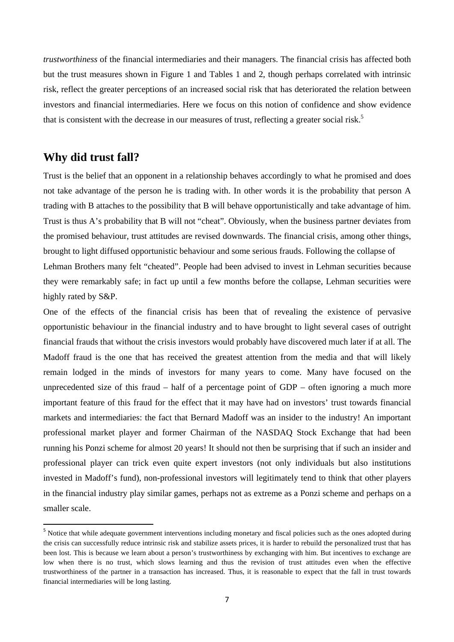*trustworthiness* of the financial intermediaries and their managers. The financial crisis has affected both but the trust measures shown in Figure 1 and Tables 1 and 2, though perhaps correlated with intrinsic risk, reflect the greater perceptions of an increased social risk that has deteriorated the relation between investors and financial intermediaries. Here we focus on this notion of confidence and show evidence that is consistent with the decrease in our measures of trust, reflecting a greater social risk.<sup>5</sup>

# **Why did trust fall?**

Trust is the belief that an opponent in a relationship behaves accordingly to what he promised and does not take advantage of the person he is trading with. In other words it is the probability that person A trading with B attaches to the possibility that B will behave opportunistically and take advantage of him. Trust is thus A's probability that B will not "cheat". Obviously, when the business partner deviates from the promised behaviour, trust attitudes are revised downwards. The financial crisis, among other things, brought to light diffused opportunistic behaviour and some serious frauds. Following the collapse of Lehman Brothers many felt "cheated". People had been advised to invest in Lehman securities because they were remarkably safe; in fact up until a few months before the collapse, Lehman securities were highly rated by S&P.

One of the effects of the financial crisis has been that of revealing the existence of pervasive opportunistic behaviour in the financial industry and to have brought to light several cases of outright financial frauds that without the crisis investors would probably have discovered much later if at all. The Madoff fraud is the one that has received the greatest attention from the media and that will likely remain lodged in the minds of investors for many years to come. Many have focused on the unprecedented size of this fraud – half of a percentage point of GDP – often ignoring a much more important feature of this fraud for the effect that it may have had on investors' trust towards financial markets and intermediaries: the fact that Bernard Madoff was an insider to the industry! An important professional market player and former Chairman of the NASDAQ Stock Exchange that had been running his Ponzi scheme for almost 20 years! It should not then be surprising that if such an insider and professional player can trick even quite expert investors (not only individuals but also institutions invested in Madoff's fund), non-professional investors will legitimately tend to think that other players in the financial industry play similar games, perhaps not as extreme as a Ponzi scheme and perhaps on a smaller scale.

<sup>&</sup>lt;sup>5</sup> Notice that while adequate government interventions including monetary and fiscal policies such as the ones adopted during the crisis can successfully reduce intrinsic risk and stabilize assets prices, it is harder to rebuild the personalized trust that has been lost. This is because we learn about a person's trustworthiness by exchanging with him. But incentives to exchange are low when there is no trust, which slows learning and thus the revision of trust attitudes even when the effective trustworthiness of the partner in a transaction has increased. Thus, it is reasonable to expect that the fall in trust towards financial intermediaries will be long lasting.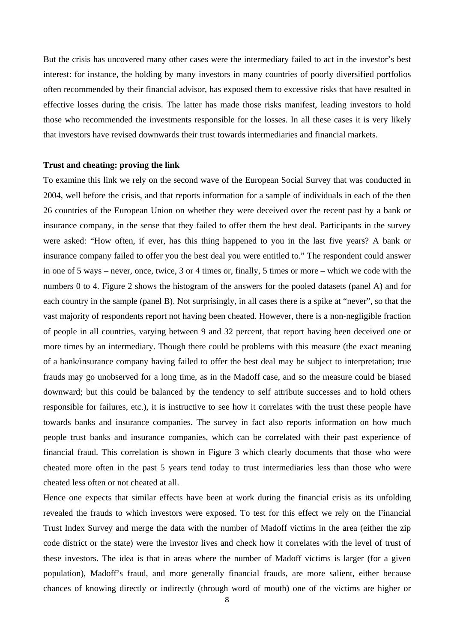But the crisis has uncovered many other cases were the intermediary failed to act in the investor's best interest: for instance, the holding by many investors in many countries of poorly diversified portfolios often recommended by their financial advisor, has exposed them to excessive risks that have resulted in effective losses during the crisis. The latter has made those risks manifest, leading investors to hold those who recommended the investments responsible for the losses. In all these cases it is very likely that investors have revised downwards their trust towards intermediaries and financial markets.

#### **Trust and cheating: proving the link**

To examine this link we rely on the second wave of the European Social Survey that was conducted in 2004, well before the crisis, and that reports information for a sample of individuals in each of the then 26 countries of the European Union on whether they were deceived over the recent past by a bank or insurance company, in the sense that they failed to offer them the best deal. Participants in the survey were asked: "How often, if ever, has this thing happened to you in the last five years? A bank or insurance company failed to offer you the best deal you were entitled to." The respondent could answer in one of 5 ways – never, once, twice, 3 or 4 times or, finally, 5 times or more – which we code with the numbers 0 to 4. Figure 2 shows the histogram of the answers for the pooled datasets (panel A) and for each country in the sample (panel B). Not surprisingly, in all cases there is a spike at "never", so that the vast majority of respondents report not having been cheated. However, there is a non-negligible fraction of people in all countries, varying between 9 and 32 percent, that report having been deceived one or more times by an intermediary. Though there could be problems with this measure (the exact meaning of a bank/insurance company having failed to offer the best deal may be subject to interpretation; true frauds may go unobserved for a long time, as in the Madoff case, and so the measure could be biased downward; but this could be balanced by the tendency to self attribute successes and to hold others responsible for failures, etc.), it is instructive to see how it correlates with the trust these people have towards banks and insurance companies. The survey in fact also reports information on how much people trust banks and insurance companies, which can be correlated with their past experience of financial fraud. This correlation is shown in Figure 3 which clearly documents that those who were cheated more often in the past 5 years tend today to trust intermediaries less than those who were cheated less often or not cheated at all.

Hence one expects that similar effects have been at work during the financial crisis as its unfolding revealed the frauds to which investors were exposed. To test for this effect we rely on the Financial Trust Index Survey and merge the data with the number of Madoff victims in the area (either the zip code district or the state) were the investor lives and check how it correlates with the level of trust of these investors. The idea is that in areas where the number of Madoff victims is larger (for a given population), Madoff's fraud, and more generally financial frauds, are more salient, either because chances of knowing directly or indirectly (through word of mouth) one of the victims are higher or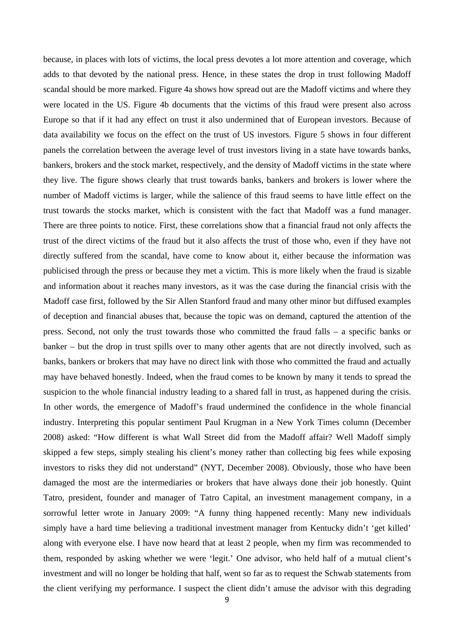because, in places with lots of victims, the local press devotes a lot more attention and coverage, which adds to that devoted by the national press. Hence, in these states the drop in trust following Madoff scandal should be more marked. Figure 4a shows how spread out are the Madoff victims and where they were located in the US. Figure 4b documents that the victims of this fraud were present also across Europe so that if it had any effect on trust it also undermined that of European investors. Because of data availability we focus on the effect on the trust of US investors. Figure 5 shows in four different panels the correlation between the average level of trust investors living in a state have towards banks, bankers, brokers and the stock market, respectively, and the density of Madoff victims in the state where they live. The figure shows clearly that trust towards banks, bankers and brokers is lower where the number of Madoff victims is larger, while the salience of this fraud seems to have little effect on the trust towards the stocks market, which is consistent with the fact that Madoff was a fund manager. There are three points to notice. First, these correlations show that a financial fraud not only affects the trust of the direct victims of the fraud but it also affects the trust of those who, even if they have not directly suffered from the scandal, have come to know about it, either because the information was publicised through the press or because they met a victim. This is more likely when the fraud is sizable and information about it reaches many investors, as it was the case during the financial crisis with the Madoff case first, followed by the Sir Allen Stanford fraud and many other minor but diffused examples of deception and financial abuses that, because the topic was on demand, captured the attention of the press. Second, not only the trust towards those who committed the fraud falls – a specific banks or banker – but the drop in trust spills over to many other agents that are not directly involved, such as banks, bankers or brokers that may have no direct link with those who committed the fraud and actually may have behaved honestly. Indeed, when the fraud comes to be known by many it tends to spread the suspicion to the whole financial industry leading to a shared fall in trust, as happened during the crisis. In other words, the emergence of Madoff's fraud undermined the confidence in the whole financial industry. Interpreting this popular sentiment Paul Krugman in a New York Times column (December 2008) asked: "How different is what Wall Street did from the Madoff affair? Well Madoff simply skipped a few steps, simply stealing his client's money rather than collecting big fees while exposing investors to risks they did not understand" (NYT, December 2008). Obviously, those who have been damaged the most are the intermediaries or brokers that have always done their job honestly. Quint Tatro, president, founder and manager of Tatro Capital, an investment management company, in a sorrowful letter wrote in January 2009: "A funny thing happened recently: Many new individuals simply have a hard time believing a traditional investment manager from Kentucky didn't 'get killed' along with everyone else. I have now heard that at least 2 people, when my firm was recommended to them, responded by asking whether we were 'legit.' One advisor, who held half of a mutual client's investment and will no longer be holding that half, went so far as to request the Schwab statements from the client verifying my performance. I suspect the client didn't amuse the advisor with this degrading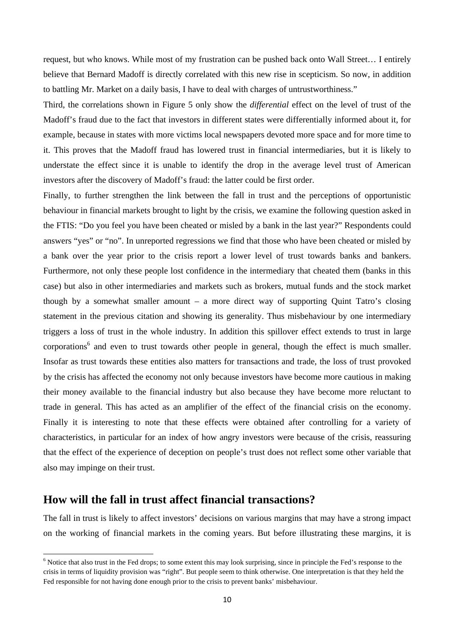request, but who knows. While most of my frustration can be pushed back onto Wall Street… I entirely believe that Bernard Madoff is directly correlated with this new rise in scepticism. So now, in addition to battling Mr. Market on a daily basis, I have to deal with charges of untrustworthiness."

Third, the correlations shown in Figure 5 only show the *differential* effect on the level of trust of the Madoff's fraud due to the fact that investors in different states were differentially informed about it, for example, because in states with more victims local newspapers devoted more space and for more time to it. This proves that the Madoff fraud has lowered trust in financial intermediaries, but it is likely to understate the effect since it is unable to identify the drop in the average level trust of American investors after the discovery of Madoff's fraud: the latter could be first order.

Finally, to further strengthen the link between the fall in trust and the perceptions of opportunistic behaviour in financial markets brought to light by the crisis, we examine the following question asked in the FTIS: "Do you feel you have been cheated or misled by a bank in the last year?" Respondents could answers "yes" or "no". In unreported regressions we find that those who have been cheated or misled by a bank over the year prior to the crisis report a lower level of trust towards banks and bankers. Furthermore, not only these people lost confidence in the intermediary that cheated them (banks in this case) but also in other intermediaries and markets such as brokers, mutual funds and the stock market though by a somewhat smaller amount – a more direct way of supporting Quint Tatro's closing statement in the previous citation and showing its generality. Thus misbehaviour by one intermediary triggers a loss of trust in the whole industry. In addition this spillover effect extends to trust in large corporations<sup>6</sup> and even to trust towards other people in general, though the effect is much smaller. Insofar as trust towards these entities also matters for transactions and trade, the loss of trust provoked by the crisis has affected the economy not only because investors have become more cautious in making their money available to the financial industry but also because they have become more reluctant to trade in general. This has acted as an amplifier of the effect of the financial crisis on the economy. Finally it is interesting to note that these effects were obtained after controlling for a variety of characteristics, in particular for an index of how angry investors were because of the crisis, reassuring that the effect of the experience of deception on people's trust does not reflect some other variable that also may impinge on their trust.

# **How will the fall in trust affect financial transactions?**

The fall in trust is likely to affect investors' decisions on various margins that may have a strong impact on the working of financial markets in the coming years. But before illustrating these margins, it is

 $6$  Notice that also trust in the Fed drops; to some extent this may look surprising, since in principle the Fed's response to the crisis in terms of liquidity provision was "right". But people seem to think otherwise. One interpretation is that they held the Fed responsible for not having done enough prior to the crisis to prevent banks' misbehaviour.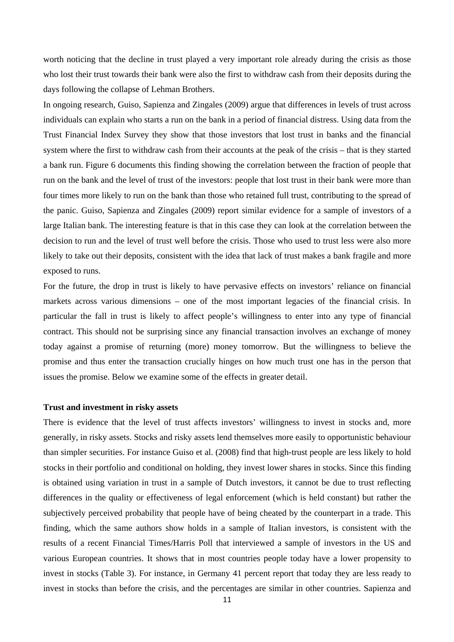worth noticing that the decline in trust played a very important role already during the crisis as those who lost their trust towards their bank were also the first to withdraw cash from their deposits during the days following the collapse of Lehman Brothers.

In ongoing research, Guiso, Sapienza and Zingales (2009) argue that differences in levels of trust across individuals can explain who starts a run on the bank in a period of financial distress. Using data from the Trust Financial Index Survey they show that those investors that lost trust in banks and the financial system where the first to withdraw cash from their accounts at the peak of the crisis – that is they started a bank run. Figure 6 documents this finding showing the correlation between the fraction of people that run on the bank and the level of trust of the investors: people that lost trust in their bank were more than four times more likely to run on the bank than those who retained full trust, contributing to the spread of the panic. Guiso, Sapienza and Zingales (2009) report similar evidence for a sample of investors of a large Italian bank. The interesting feature is that in this case they can look at the correlation between the decision to run and the level of trust well before the crisis. Those who used to trust less were also more likely to take out their deposits, consistent with the idea that lack of trust makes a bank fragile and more exposed to runs.

For the future, the drop in trust is likely to have pervasive effects on investors' reliance on financial markets across various dimensions – one of the most important legacies of the financial crisis. In particular the fall in trust is likely to affect people's willingness to enter into any type of financial contract. This should not be surprising since any financial transaction involves an exchange of money today against a promise of returning (more) money tomorrow. But the willingness to believe the promise and thus enter the transaction crucially hinges on how much trust one has in the person that issues the promise. Below we examine some of the effects in greater detail.

#### **Trust and investment in risky assets**

There is evidence that the level of trust affects investors' willingness to invest in stocks and, more generally, in risky assets. Stocks and risky assets lend themselves more easily to opportunistic behaviour than simpler securities. For instance Guiso et al. (2008) find that high-trust people are less likely to hold stocks in their portfolio and conditional on holding, they invest lower shares in stocks. Since this finding is obtained using variation in trust in a sample of Dutch investors, it cannot be due to trust reflecting differences in the quality or effectiveness of legal enforcement (which is held constant) but rather the subjectively perceived probability that people have of being cheated by the counterpart in a trade. This finding, which the same authors show holds in a sample of Italian investors, is consistent with the results of a recent Financial Times/Harris Poll that interviewed a sample of investors in the US and various European countries. It shows that in most countries people today have a lower propensity to invest in stocks (Table 3). For instance, in Germany 41 percent report that today they are less ready to invest in stocks than before the crisis, and the percentages are similar in other countries. Sapienza and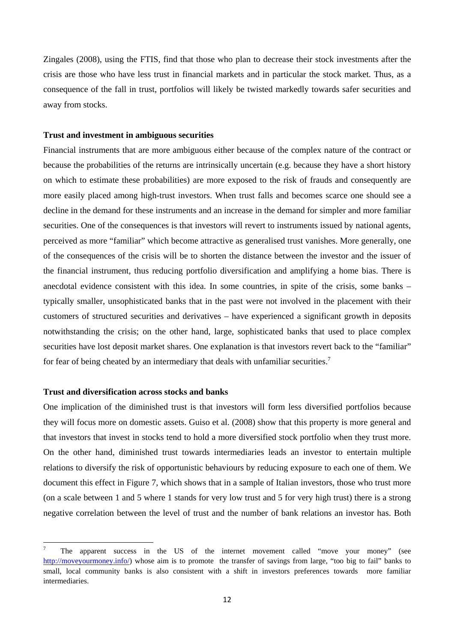Zingales (2008), using the FTIS, find that those who plan to decrease their stock investments after the crisis are those who have less trust in financial markets and in particular the stock market. Thus, as a consequence of the fall in trust, portfolios will likely be twisted markedly towards safer securities and away from stocks.

#### **Trust and investment in ambiguous securities**

Financial instruments that are more ambiguous either because of the complex nature of the contract or because the probabilities of the returns are intrinsically uncertain (e.g. because they have a short history on which to estimate these probabilities) are more exposed to the risk of frauds and consequently are more easily placed among high-trust investors. When trust falls and becomes scarce one should see a decline in the demand for these instruments and an increase in the demand for simpler and more familiar securities. One of the consequences is that investors will revert to instruments issued by national agents, perceived as more "familiar" which become attractive as generalised trust vanishes. More generally, one of the consequences of the crisis will be to shorten the distance between the investor and the issuer of the financial instrument, thus reducing portfolio diversification and amplifying a home bias. There is anecdotal evidence consistent with this idea. In some countries, in spite of the crisis, some banks – typically smaller, unsophisticated banks that in the past were not involved in the placement with their customers of structured securities and derivatives – have experienced a significant growth in deposits notwithstanding the crisis; on the other hand, large, sophisticated banks that used to place complex securities have lost deposit market shares. One explanation is that investors revert back to the "familiar" for fear of being cheated by an intermediary that deals with unfamiliar securities.<sup>7</sup>

#### **Trust and diversification across stocks and banks**

One implication of the diminished trust is that investors will form less diversified portfolios because they will focus more on domestic assets. Guiso et al. (2008) show that this property is more general and that investors that invest in stocks tend to hold a more diversified stock portfolio when they trust more. On the other hand, diminished trust towards intermediaries leads an investor to entertain multiple relations to diversify the risk of opportunistic behaviours by reducing exposure to each one of them. We document this effect in Figure 7, which shows that in a sample of Italian investors, those who trust more (on a scale between 1 and 5 where 1 stands for very low trust and 5 for very high trust) there is a strong negative correlation between the level of trust and the number of bank relations an investor has. Both

<sup>7</sup> The apparent success in the US of the internet movement called "move your money" (see http://moveyourmoney.info/) whose aim is to promote the transfer of savings from large, "too big to fail" banks to small, local community banks is also consistent with a shift in investors preferences towards more familiar intermediaries.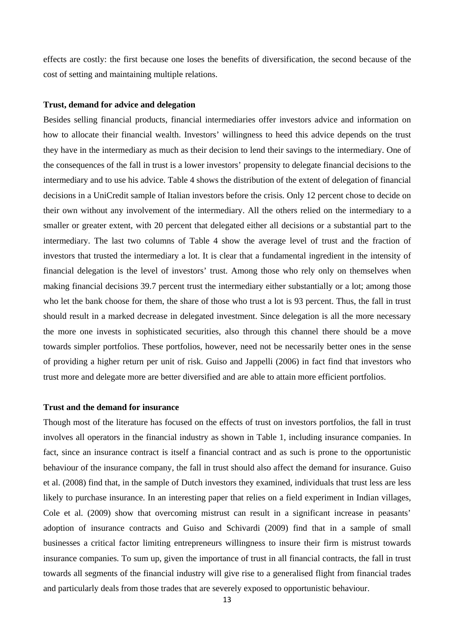effects are costly: the first because one loses the benefits of diversification, the second because of the cost of setting and maintaining multiple relations.

#### **Trust, demand for advice and delegation**

Besides selling financial products, financial intermediaries offer investors advice and information on how to allocate their financial wealth. Investors' willingness to heed this advice depends on the trust they have in the intermediary as much as their decision to lend their savings to the intermediary. One of the consequences of the fall in trust is a lower investors' propensity to delegate financial decisions to the intermediary and to use his advice. Table 4 shows the distribution of the extent of delegation of financial decisions in a UniCredit sample of Italian investors before the crisis. Only 12 percent chose to decide on their own without any involvement of the intermediary. All the others relied on the intermediary to a smaller or greater extent, with 20 percent that delegated either all decisions or a substantial part to the intermediary. The last two columns of Table 4 show the average level of trust and the fraction of investors that trusted the intermediary a lot. It is clear that a fundamental ingredient in the intensity of financial delegation is the level of investors' trust. Among those who rely only on themselves when making financial decisions 39.7 percent trust the intermediary either substantially or a lot; among those who let the bank choose for them, the share of those who trust a lot is 93 percent. Thus, the fall in trust should result in a marked decrease in delegated investment. Since delegation is all the more necessary the more one invests in sophisticated securities, also through this channel there should be a move towards simpler portfolios. These portfolios, however, need not be necessarily better ones in the sense of providing a higher return per unit of risk. Guiso and Jappelli (2006) in fact find that investors who trust more and delegate more are better diversified and are able to attain more efficient portfolios.

#### **Trust and the demand for insurance**

Though most of the literature has focused on the effects of trust on investors portfolios, the fall in trust involves all operators in the financial industry as shown in Table 1, including insurance companies. In fact, since an insurance contract is itself a financial contract and as such is prone to the opportunistic behaviour of the insurance company, the fall in trust should also affect the demand for insurance. Guiso et al. (2008) find that, in the sample of Dutch investors they examined, individuals that trust less are less likely to purchase insurance. In an interesting paper that relies on a field experiment in Indian villages, Cole et al. (2009) show that overcoming mistrust can result in a significant increase in peasants' adoption of insurance contracts and Guiso and Schivardi (2009) find that in a sample of small businesses a critical factor limiting entrepreneurs willingness to insure their firm is mistrust towards insurance companies. To sum up, given the importance of trust in all financial contracts, the fall in trust towards all segments of the financial industry will give rise to a generalised flight from financial trades and particularly deals from those trades that are severely exposed to opportunistic behaviour.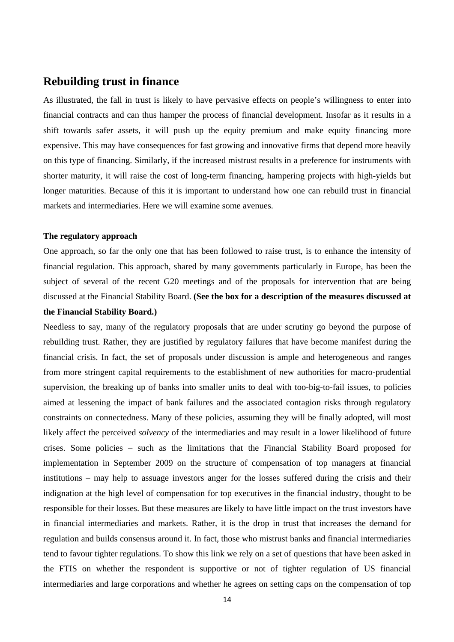# **Rebuilding trust in finance**

As illustrated, the fall in trust is likely to have pervasive effects on people's willingness to enter into financial contracts and can thus hamper the process of financial development. Insofar as it results in a shift towards safer assets, it will push up the equity premium and make equity financing more expensive. This may have consequences for fast growing and innovative firms that depend more heavily on this type of financing. Similarly, if the increased mistrust results in a preference for instruments with shorter maturity, it will raise the cost of long-term financing, hampering projects with high-yields but longer maturities. Because of this it is important to understand how one can rebuild trust in financial markets and intermediaries. Here we will examine some avenues.

#### **The regulatory approach**

One approach, so far the only one that has been followed to raise trust, is to enhance the intensity of financial regulation. This approach, shared by many governments particularly in Europe, has been the subject of several of the recent G20 meetings and of the proposals for intervention that are being discussed at the Financial Stability Board. **(See the box for a description of the measures discussed at the Financial Stability Board.)**

Needless to say, many of the regulatory proposals that are under scrutiny go beyond the purpose of rebuilding trust. Rather, they are justified by regulatory failures that have become manifest during the financial crisis. In fact, the set of proposals under discussion is ample and heterogeneous and ranges from more stringent capital requirements to the establishment of new authorities for macro-prudential supervision, the breaking up of banks into smaller units to deal with too-big-to-fail issues, to policies aimed at lessening the impact of bank failures and the associated contagion risks through regulatory constraints on connectedness. Many of these policies, assuming they will be finally adopted, will most likely affect the perceived *solvency* of the intermediaries and may result in a lower likelihood of future crises. Some policies – such as the limitations that the Financial Stability Board proposed for implementation in September 2009 on the structure of compensation of top managers at financial institutions – may help to assuage investors anger for the losses suffered during the crisis and their indignation at the high level of compensation for top executives in the financial industry, thought to be responsible for their losses. But these measures are likely to have little impact on the trust investors have in financial intermediaries and markets. Rather, it is the drop in trust that increases the demand for regulation and builds consensus around it. In fact, those who mistrust banks and financial intermediaries tend to favour tighter regulations. To show this link we rely on a set of questions that have been asked in the FTIS on whether the respondent is supportive or not of tighter regulation of US financial intermediaries and large corporations and whether he agrees on setting caps on the compensation of top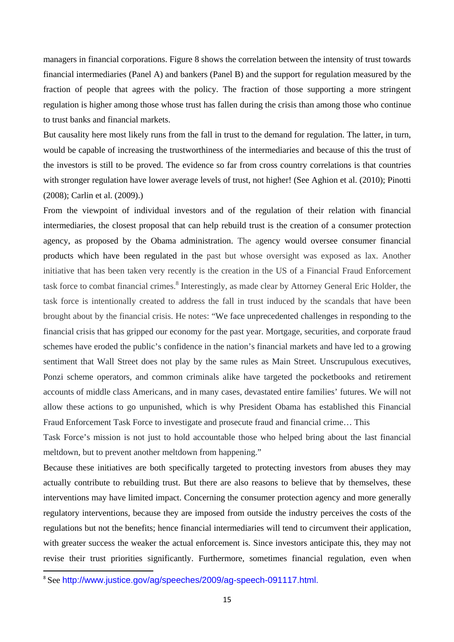managers in financial corporations. Figure 8 shows the correlation between the intensity of trust towards financial intermediaries (Panel A) and bankers (Panel B) and the support for regulation measured by the fraction of people that agrees with the policy. The fraction of those supporting a more stringent regulation is higher among those whose trust has fallen during the crisis than among those who continue to trust banks and financial markets.

But causality here most likely runs from the fall in trust to the demand for regulation. The latter, in turn, would be capable of increasing the trustworthiness of the intermediaries and because of this the trust of the investors is still to be proved. The evidence so far from cross country correlations is that countries with stronger regulation have lower average levels of trust, not higher! (See Aghion et al. (2010); Pinotti (2008); Carlin et al. (2009).)

From the viewpoint of individual investors and of the regulation of their relation with financial intermediaries, the closest proposal that can help rebuild trust is the creation of a consumer protection agency, as proposed by the Obama administration. The agency would oversee consumer financial products which have been regulated in the past but whose oversight was exposed as lax. Another initiative that has been taken very recently is the creation in the US of a Financial Fraud Enforcement task force to combat financial crimes.<sup>8</sup> Interestingly, as made clear by Attorney General Eric Holder, the task force is intentionally created to address the fall in trust induced by the scandals that have been brought about by the financial crisis. He notes: "We face unprecedented challenges in responding to the financial crisis that has gripped our economy for the past year. Mortgage, securities, and corporate fraud schemes have eroded the public's confidence in the nation's financial markets and have led to a growing sentiment that Wall Street does not play by the same rules as Main Street. Unscrupulous executives, Ponzi scheme operators, and common criminals alike have targeted the pocketbooks and retirement accounts of middle class Americans, and in many cases, devastated entire families' futures. We will not allow these actions to go unpunished, which is why President Obama has established this Financial Fraud Enforcement Task Force to investigate and prosecute fraud and financial crime… This

Task Force's mission is not just to hold accountable those who helped bring about the last financial meltdown, but to prevent another meltdown from happening."

Because these initiatives are both specifically targeted to protecting investors from abuses they may actually contribute to rebuilding trust. But there are also reasons to believe that by themselves, these interventions may have limited impact. Concerning the consumer protection agency and more generally regulatory interventions, because they are imposed from outside the industry perceives the costs of the regulations but not the benefits; hence financial intermediaries will tend to circumvent their application, with greater success the weaker the actual enforcement is. Since investors anticipate this, they may not revise their trust priorities significantly. Furthermore, sometimes financial regulation, even when

<sup>&</sup>lt;sup>8</sup> See http://www.justice.gov/ag/speeches/2009/ag-speech-091117.html.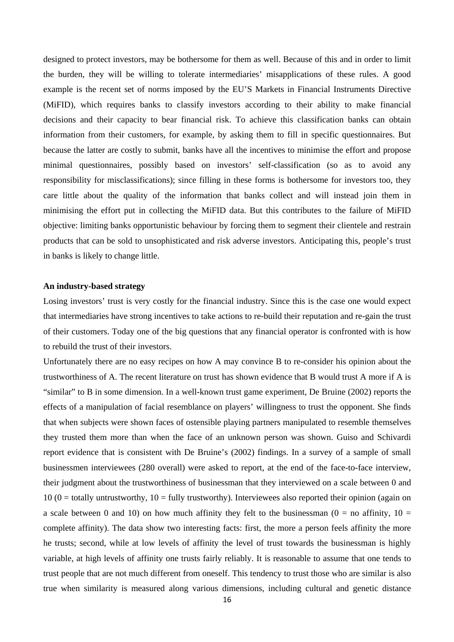designed to protect investors, may be bothersome for them as well. Because of this and in order to limit the burden, they will be willing to tolerate intermediaries' misapplications of these rules. A good example is the recent set of norms imposed by the EU'S Markets in Financial Instruments Directive (MiFID), which requires banks to classify investors according to their ability to make financial decisions and their capacity to bear financial risk. To achieve this classification banks can obtain information from their customers, for example, by asking them to fill in specific questionnaires. But because the latter are costly to submit, banks have all the incentives to minimise the effort and propose minimal questionnaires, possibly based on investors' self-classification (so as to avoid any responsibility for misclassifications); since filling in these forms is bothersome for investors too, they care little about the quality of the information that banks collect and will instead join them in minimising the effort put in collecting the MiFID data. But this contributes to the failure of MiFID objective: limiting banks opportunistic behaviour by forcing them to segment their clientele and restrain products that can be sold to unsophisticated and risk adverse investors. Anticipating this, people's trust in banks is likely to change little.

#### **An industry-based strategy**

Losing investors' trust is very costly for the financial industry. Since this is the case one would expect that intermediaries have strong incentives to take actions to re-build their reputation and re-gain the trust of their customers. Today one of the big questions that any financial operator is confronted with is how to rebuild the trust of their investors.

Unfortunately there are no easy recipes on how A may convince B to re-consider his opinion about the trustworthiness of A. The recent literature on trust has shown evidence that B would trust A more if A is "similar" to B in some dimension. In a well-known trust game experiment, De Bruine (2002) reports the effects of a manipulation of facial resemblance on players' willingness to trust the opponent. She finds that when subjects were shown faces of ostensible playing partners manipulated to resemble themselves they trusted them more than when the face of an unknown person was shown. Guiso and Schivardi report evidence that is consistent with De Bruine's (2002) findings. In a survey of a sample of small businessmen interviewees (280 overall) were asked to report, at the end of the face-to-face interview, their judgment about the trustworthiness of businessman that they interviewed on a scale between 0 and  $10 (0 =$  totally untrustworthy,  $10 =$  fully trustworthy). Interviewees also reported their opinion (again on a scale between 0 and 10) on how much affinity they felt to the businessman ( $0 =$  no affinity,  $10 =$ complete affinity). The data show two interesting facts: first, the more a person feels affinity the more he trusts; second, while at low levels of affinity the level of trust towards the businessman is highly variable, at high levels of affinity one trusts fairly reliably. It is reasonable to assume that one tends to trust people that are not much different from oneself. This tendency to trust those who are similar is also true when similarity is measured along various dimensions, including cultural and genetic distance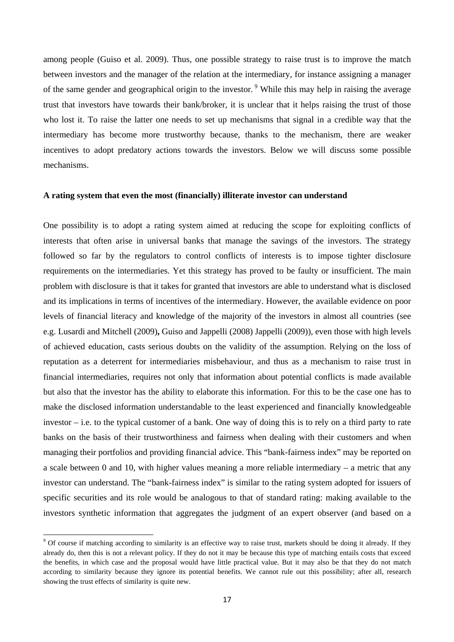among people (Guiso et al. 2009). Thus, one possible strategy to raise trust is to improve the match between investors and the manager of the relation at the intermediary, for instance assigning a manager of the same gender and geographical origin to the investor. 9 While this may help in raising the average trust that investors have towards their bank/broker, it is unclear that it helps raising the trust of those who lost it. To raise the latter one needs to set up mechanisms that signal in a credible way that the intermediary has become more trustworthy because, thanks to the mechanism, there are weaker incentives to adopt predatory actions towards the investors. Below we will discuss some possible mechanisms.

#### **A rating system that even the most (financially) illiterate investor can understand**

One possibility is to adopt a rating system aimed at reducing the scope for exploiting conflicts of interests that often arise in universal banks that manage the savings of the investors. The strategy followed so far by the regulators to control conflicts of interests is to impose tighter disclosure requirements on the intermediaries. Yet this strategy has proved to be faulty or insufficient. The main problem with disclosure is that it takes for granted that investors are able to understand what is disclosed and its implications in terms of incentives of the intermediary. However, the available evidence on poor levels of financial literacy and knowledge of the majority of the investors in almost all countries (see e.g. Lusardi and Mitchell (2009)**,** Guiso and Jappelli (2008) Jappelli (2009)), even those with high levels of achieved education, casts serious doubts on the validity of the assumption. Relying on the loss of reputation as a deterrent for intermediaries misbehaviour, and thus as a mechanism to raise trust in financial intermediaries, requires not only that information about potential conflicts is made available but also that the investor has the ability to elaborate this information. For this to be the case one has to make the disclosed information understandable to the least experienced and financially knowledgeable investor – i.e. to the typical customer of a bank. One way of doing this is to rely on a third party to rate banks on the basis of their trustworthiness and fairness when dealing with their customers and when managing their portfolios and providing financial advice. This "bank-fairness index" may be reported on a scale between 0 and 10, with higher values meaning a more reliable intermediary – a metric that any investor can understand. The "bank-fairness index" is similar to the rating system adopted for issuers of specific securities and its role would be analogous to that of standard rating: making available to the investors synthetic information that aggregates the judgment of an expert observer (and based on a

<sup>&</sup>lt;sup>9</sup> Of course if matching according to similarity is an effective way to raise trust, markets should be doing it already. If they already do, then this is not a relevant policy. If they do not it may be because this type of matching entails costs that exceed the benefits, in which case and the proposal would have little practical value. But it may also be that they do not match according to similarity because they ignore its potential benefits. We cannot rule out this possibility; after all, research showing the trust effects of similarity is quite new.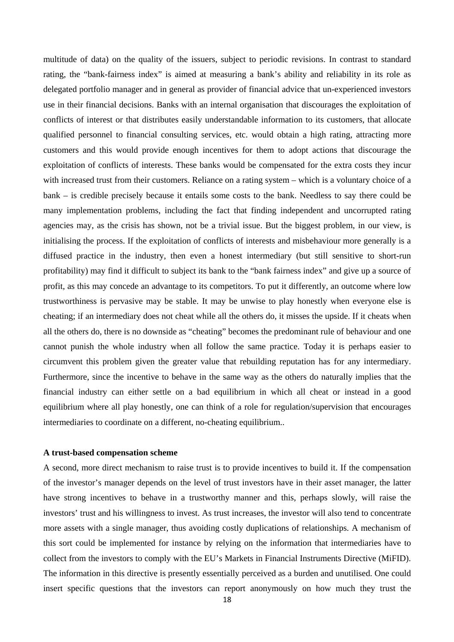multitude of data) on the quality of the issuers, subject to periodic revisions. In contrast to standard rating, the "bank-fairness index" is aimed at measuring a bank's ability and reliability in its role as delegated portfolio manager and in general as provider of financial advice that un-experienced investors use in their financial decisions. Banks with an internal organisation that discourages the exploitation of conflicts of interest or that distributes easily understandable information to its customers, that allocate qualified personnel to financial consulting services, etc. would obtain a high rating, attracting more customers and this would provide enough incentives for them to adopt actions that discourage the exploitation of conflicts of interests. These banks would be compensated for the extra costs they incur with increased trust from their customers. Reliance on a rating system – which is a voluntary choice of a bank – is credible precisely because it entails some costs to the bank. Needless to say there could be many implementation problems, including the fact that finding independent and uncorrupted rating agencies may, as the crisis has shown, not be a trivial issue. But the biggest problem, in our view, is initialising the process. If the exploitation of conflicts of interests and misbehaviour more generally is a diffused practice in the industry, then even a honest intermediary (but still sensitive to short-run profitability) may find it difficult to subject its bank to the "bank fairness index" and give up a source of profit, as this may concede an advantage to its competitors. To put it differently, an outcome where low trustworthiness is pervasive may be stable. It may be unwise to play honestly when everyone else is cheating; if an intermediary does not cheat while all the others do, it misses the upside. If it cheats when all the others do, there is no downside as "cheating" becomes the predominant rule of behaviour and one cannot punish the whole industry when all follow the same practice. Today it is perhaps easier to circumvent this problem given the greater value that rebuilding reputation has for any intermediary. Furthermore, since the incentive to behave in the same way as the others do naturally implies that the financial industry can either settle on a bad equilibrium in which all cheat or instead in a good equilibrium where all play honestly, one can think of a role for regulation/supervision that encourages intermediaries to coordinate on a different, no-cheating equilibrium..

#### **A trust-based compensation scheme**

A second, more direct mechanism to raise trust is to provide incentives to build it. If the compensation of the investor's manager depends on the level of trust investors have in their asset manager, the latter have strong incentives to behave in a trustworthy manner and this, perhaps slowly, will raise the investors' trust and his willingness to invest. As trust increases, the investor will also tend to concentrate more assets with a single manager, thus avoiding costly duplications of relationships. A mechanism of this sort could be implemented for instance by relying on the information that intermediaries have to collect from the investors to comply with the EU's Markets in Financial Instruments Directive (MiFID). The information in this directive is presently essentially perceived as a burden and unutilised. One could insert specific questions that the investors can report anonymously on how much they trust the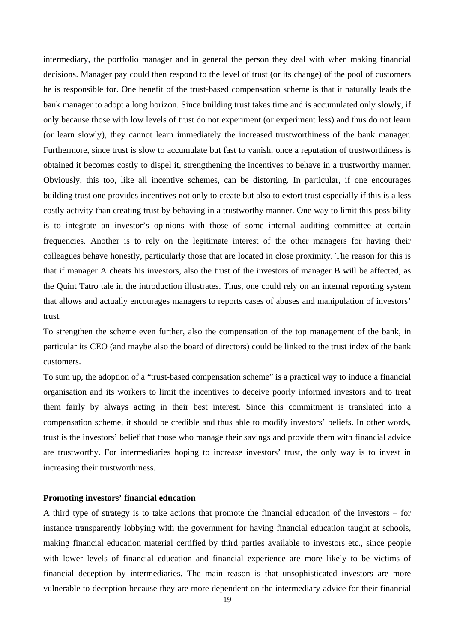intermediary, the portfolio manager and in general the person they deal with when making financial decisions. Manager pay could then respond to the level of trust (or its change) of the pool of customers he is responsible for. One benefit of the trust-based compensation scheme is that it naturally leads the bank manager to adopt a long horizon. Since building trust takes time and is accumulated only slowly, if only because those with low levels of trust do not experiment (or experiment less) and thus do not learn (or learn slowly), they cannot learn immediately the increased trustworthiness of the bank manager. Furthermore, since trust is slow to accumulate but fast to vanish, once a reputation of trustworthiness is obtained it becomes costly to dispel it, strengthening the incentives to behave in a trustworthy manner. Obviously, this too, like all incentive schemes, can be distorting. In particular, if one encourages building trust one provides incentives not only to create but also to extort trust especially if this is a less costly activity than creating trust by behaving in a trustworthy manner. One way to limit this possibility is to integrate an investor's opinions with those of some internal auditing committee at certain frequencies. Another is to rely on the legitimate interest of the other managers for having their colleagues behave honestly, particularly those that are located in close proximity. The reason for this is that if manager A cheats his investors, also the trust of the investors of manager B will be affected, as the Quint Tatro tale in the introduction illustrates. Thus, one could rely on an internal reporting system that allows and actually encourages managers to reports cases of abuses and manipulation of investors' trust.

To strengthen the scheme even further, also the compensation of the top management of the bank, in particular its CEO (and maybe also the board of directors) could be linked to the trust index of the bank customers.

To sum up, the adoption of a "trust-based compensation scheme" is a practical way to induce a financial organisation and its workers to limit the incentives to deceive poorly informed investors and to treat them fairly by always acting in their best interest. Since this commitment is translated into a compensation scheme, it should be credible and thus able to modify investors' beliefs. In other words, trust is the investors' belief that those who manage their savings and provide them with financial advice are trustworthy. For intermediaries hoping to increase investors' trust, the only way is to invest in increasing their trustworthiness.

#### **Promoting investors' financial education**

A third type of strategy is to take actions that promote the financial education of the investors – for instance transparently lobbying with the government for having financial education taught at schools, making financial education material certified by third parties available to investors etc., since people with lower levels of financial education and financial experience are more likely to be victims of financial deception by intermediaries. The main reason is that unsophisticated investors are more vulnerable to deception because they are more dependent on the intermediary advice for their financial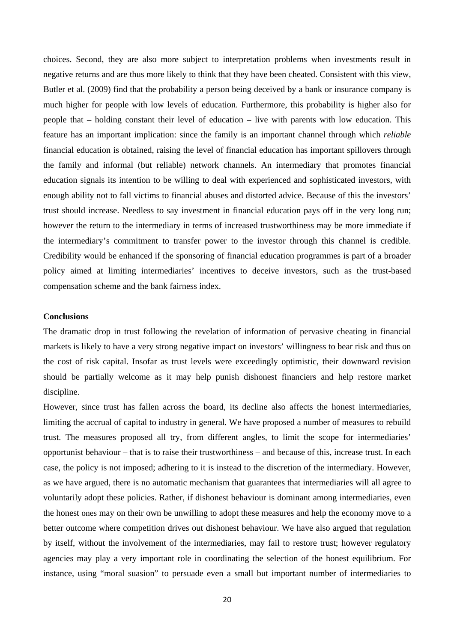choices. Second, they are also more subject to interpretation problems when investments result in negative returns and are thus more likely to think that they have been cheated. Consistent with this view, Butler et al. (2009) find that the probability a person being deceived by a bank or insurance company is much higher for people with low levels of education. Furthermore, this probability is higher also for people that – holding constant their level of education – live with parents with low education. This feature has an important implication: since the family is an important channel through which *reliable*  financial education is obtained, raising the level of financial education has important spillovers through the family and informal (but reliable) network channels. An intermediary that promotes financial education signals its intention to be willing to deal with experienced and sophisticated investors, with enough ability not to fall victims to financial abuses and distorted advice. Because of this the investors' trust should increase. Needless to say investment in financial education pays off in the very long run; however the return to the intermediary in terms of increased trustworthiness may be more immediate if the intermediary's commitment to transfer power to the investor through this channel is credible. Credibility would be enhanced if the sponsoring of financial education programmes is part of a broader policy aimed at limiting intermediaries' incentives to deceive investors, such as the trust-based compensation scheme and the bank fairness index.

#### **Conclusions**

The dramatic drop in trust following the revelation of information of pervasive cheating in financial markets is likely to have a very strong negative impact on investors' willingness to bear risk and thus on the cost of risk capital. Insofar as trust levels were exceedingly optimistic, their downward revision should be partially welcome as it may help punish dishonest financiers and help restore market discipline.

However, since trust has fallen across the board, its decline also affects the honest intermediaries, limiting the accrual of capital to industry in general. We have proposed a number of measures to rebuild trust. The measures proposed all try, from different angles, to limit the scope for intermediaries' opportunist behaviour – that is to raise their trustworthiness – and because of this, increase trust. In each case, the policy is not imposed; adhering to it is instead to the discretion of the intermediary. However, as we have argued, there is no automatic mechanism that guarantees that intermediaries will all agree to voluntarily adopt these policies. Rather, if dishonest behaviour is dominant among intermediaries, even the honest ones may on their own be unwilling to adopt these measures and help the economy move to a better outcome where competition drives out dishonest behaviour. We have also argued that regulation by itself, without the involvement of the intermediaries, may fail to restore trust; however regulatory agencies may play a very important role in coordinating the selection of the honest equilibrium. For instance, using "moral suasion" to persuade even a small but important number of intermediaries to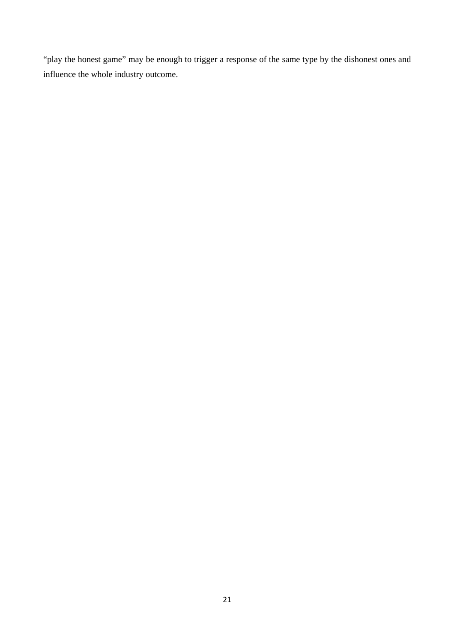"play the honest game" may be enough to trigger a response of the same type by the dishonest ones and influence the whole industry outcome.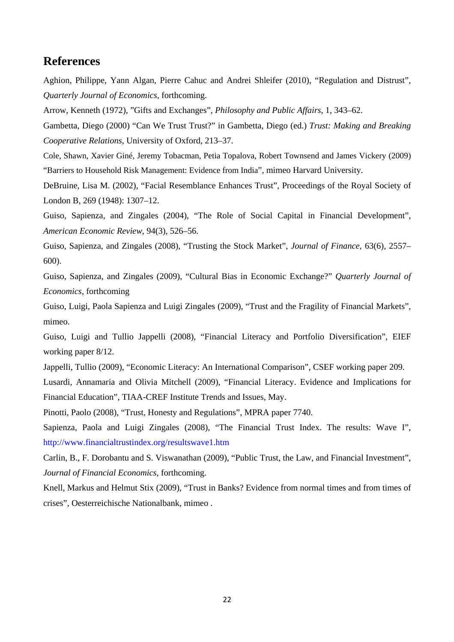# **References**

Aghion, Philippe, Yann Algan, Pierre Cahuc and Andrei Shleifer (2010), "Regulation and Distrust", *Quarterly Journal of Economics*, forthcoming.

Arrow, Kenneth (1972), "Gifts and Exchanges", *Philosophy and Public Affairs*, 1, 343–62.

Gambetta, Diego (2000) "Can We Trust Trust?" in Gambetta, Diego (ed.) *Trust: Making and Breaking Cooperative Relations*, University of Oxford, 213–37.

Cole, Shawn, Xavier Giné, Jeremy Tobacman, Petia Topalova, Robert Townsend and James Vickery (2009) "Barriers to Household Risk Management: Evidence from India", mimeo Harvard University.

DeBruine, Lisa M. (2002), "Facial Resemblance Enhances Trust", Proceedings of the Royal Society of London B, 269 (1948): 1307–12.

Guiso, Sapienza, and Zingales (2004), "The Role of Social Capital in Financial Development", *American Economic Review*, 94(3), 526–56.

Guiso, Sapienza, and Zingales (2008), "Trusting the Stock Market", *Journal of Finance*, 63(6), 2557– 600).

Guiso, Sapienza, and Zingales (2009), "Cultural Bias in Economic Exchange?" *Quarterly Journal of Economics*, forthcoming

Guiso, Luigi, Paola Sapienza and Luigi Zingales (2009), "Trust and the Fragility of Financial Markets", mimeo.

Guiso, Luigi and Tullio Jappelli (2008), "Financial Literacy and Portfolio Diversification", EIEF working paper 8/12.

Jappelli, Tullio (2009), "Economic Literacy: An International Comparison", CSEF working paper 209.

Lusardi, Annamaria and Olivia Mitchell (2009), "Financial Literacy. Evidence and Implications for Financial Education", TIAA-CREF Institute Trends and Issues, May.

Pinotti, Paolo (2008), "Trust, Honesty and Regulations", MPRA paper 7740.

Sapienza, Paola and Luigi Zingales (2008), "The Financial Trust Index. The results: Wave I", http://www.financialtrustindex.org/resultswave1.htm

Carlin, B., F. Dorobantu and S. Viswanathan (2009), "Public Trust, the Law, and Financial Investment", *Journal of Financial Economics*, forthcoming.

Knell, Markus and Helmut Stix (2009), "Trust in Banks? Evidence from normal times and from times of crises", Oesterreichische Nationalbank, mimeo .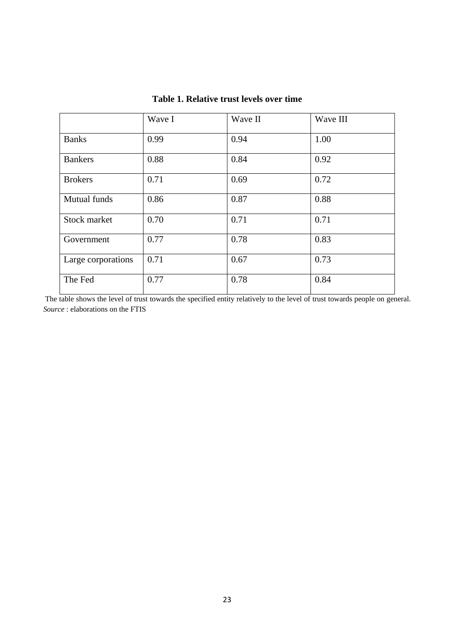|                    | Wave I | Wave II | Wave III |
|--------------------|--------|---------|----------|
| <b>Banks</b>       | 0.99   | 0.94    | 1.00     |
| <b>Bankers</b>     | 0.88   | 0.84    | 0.92     |
| <b>Brokers</b>     | 0.71   | 0.69    | 0.72     |
| Mutual funds       | 0.86   | 0.87    | 0.88     |
| Stock market       | 0.70   | 0.71    | 0.71     |
| Government         | 0.77   | 0.78    | 0.83     |
| Large corporations | 0.71   | 0.67    | 0.73     |
| The Fed            | 0.77   | 0.78    | 0.84     |

# **Table 1. Relative trust levels over time**

The table shows the level of trust towards the specified entity relatively to the level of trust towards people on general. *Source* : elaborations on the FTIS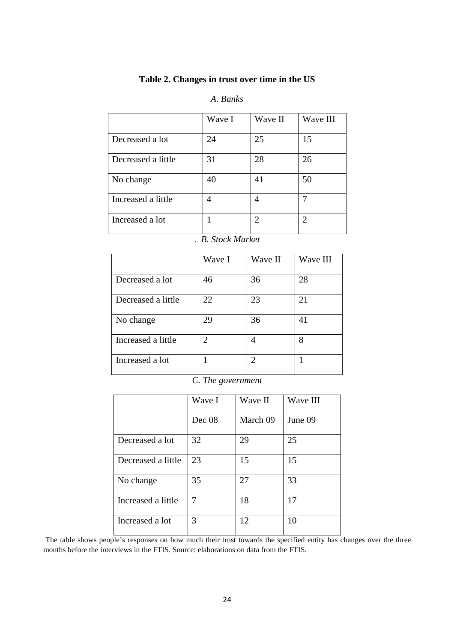## **Table 2. Changes in trust over time in the US**

### *A. Banks*

|                    | Wave I | Wave II       | Wave III |
|--------------------|--------|---------------|----------|
| Decreased a lot    | 24     | 25            | 15       |
| Decreased a little | 31     | 28            | 26       |
| No change          | 40     | 41            | 50       |
| Increased a little | 4      | 4             |          |
| Increased a lot    |        | $\mathcal{D}$ | 2        |

### . *B. Stock Market*

|                    | Wave I         | Wave II        | Wave III |
|--------------------|----------------|----------------|----------|
|                    |                |                |          |
| Decreased a lot    | 46             | 36             | 28       |
| Decreased a little | 22             | 23             | 21       |
| No change          | 29             | 36             | 41       |
| Increased a little | $\overline{2}$ | 4              | 8        |
| Increased a lot    |                | $\mathfrak{D}$ |          |

*C. The government* 

|                    | Wave I | Wave II  | Wave III |
|--------------------|--------|----------|----------|
|                    | Dec 08 | March 09 | June 09  |
| Decreased a lot    | 32     | 29       | 25       |
| Decreased a little | 23     | 15       | 15       |
| No change          | 35     | 27       | 33       |
| Increased a little | 7      | 18       | 17       |
| Increased a lot    | 3      | 12       | 10       |

The table shows people's responses on how much their trust towards the specified entity has changes over the three months before the interviews in the FTIS. Source: elaborations on data from the FTIS.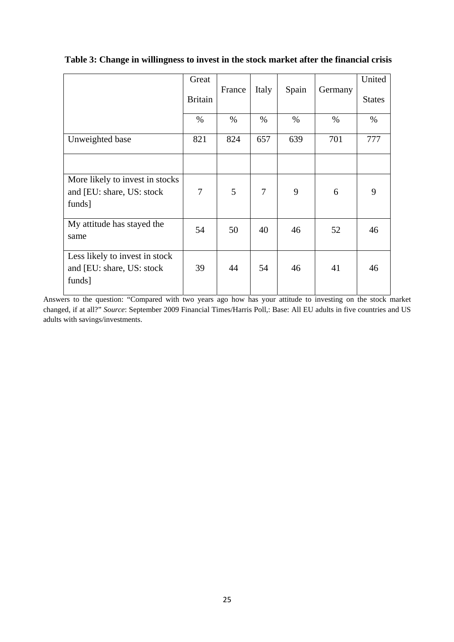|                                                                         | Great<br><b>Britain</b> | France | Italy          | Spain | Germany | United<br><b>States</b> |
|-------------------------------------------------------------------------|-------------------------|--------|----------------|-------|---------|-------------------------|
|                                                                         | $\%$                    | $\%$   | $\%$           | $\%$  | $\%$    | $\%$                    |
| Unweighted base                                                         | 821                     | 824    | 657            | 639   | 701     | 777                     |
|                                                                         |                         |        |                |       |         |                         |
| More likely to invest in stocks<br>and [EU: share, US: stock]<br>funds] | 7                       | 5      | $\overline{7}$ | 9     | 6       | 9                       |
| My attitude has stayed the<br>same                                      | 54                      | 50     | 40             | 46    | 52      | 46                      |
| Less likely to invest in stock<br>and [EU: share, US: stock]<br>funds]  | 39                      | 44     | 54             | 46    | 41      | 46                      |

## **Table 3: Change in willingness to invest in the stock market after the financial crisis**

Answers to the question: "Compared with two years ago how has your attitude to investing on the stock market changed, if at all?" *Source*: September 2009 Financial Times/Harris Poll,: Base: All EU adults in five countries and US adults with savings/investments.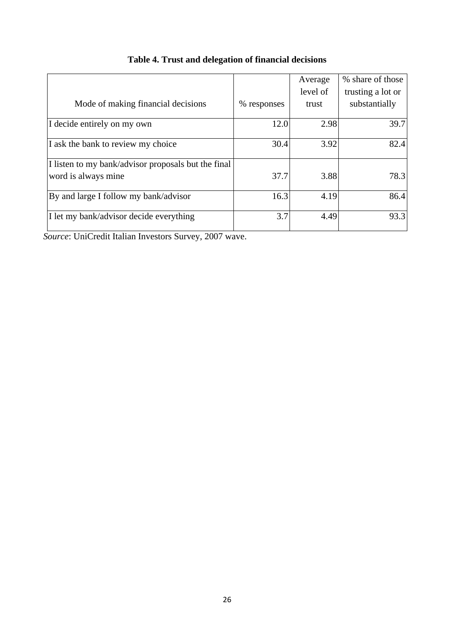|                                                                            |             | Average<br>level of | % share of those<br>trusting a lot or |
|----------------------------------------------------------------------------|-------------|---------------------|---------------------------------------|
| Mode of making financial decisions                                         | % responses | trust               | substantially                         |
| I decide entirely on my own                                                | 12.0        | 2.98                | 39.7                                  |
| I ask the bank to review my choice                                         | 30.4        | 3.92                | 82.4                                  |
| I listen to my bank/advisor proposals but the final<br>word is always mine | 37.7        | 3.88                | 78.3                                  |
| By and large I follow my bank/advisor                                      | 16.3        | 4.19                | 86.4                                  |
| I let my bank/advisor decide everything                                    | 3.7         | 4.49                | 93.3                                  |

# **Table 4. Trust and delegation of financial decisions**

*Source*: UniCredit Italian Investors Survey, 2007 wave.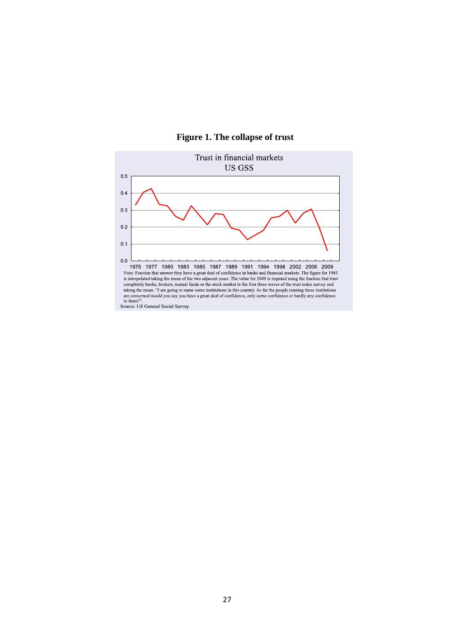

### **Figure 1. The collapse of trust**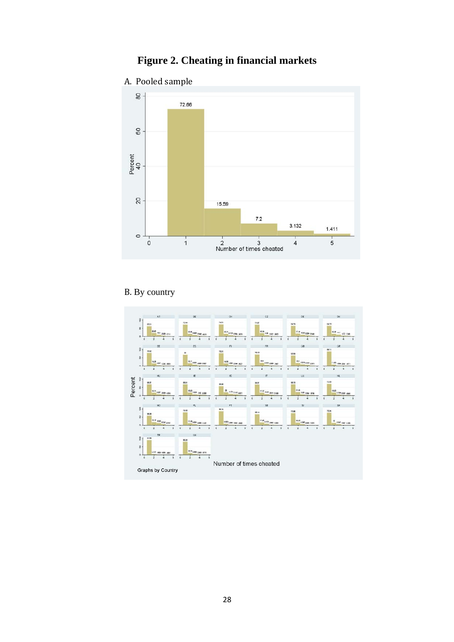# **Figure 2. Cheating in financial markets**

A. Pooled sample



# B. By country

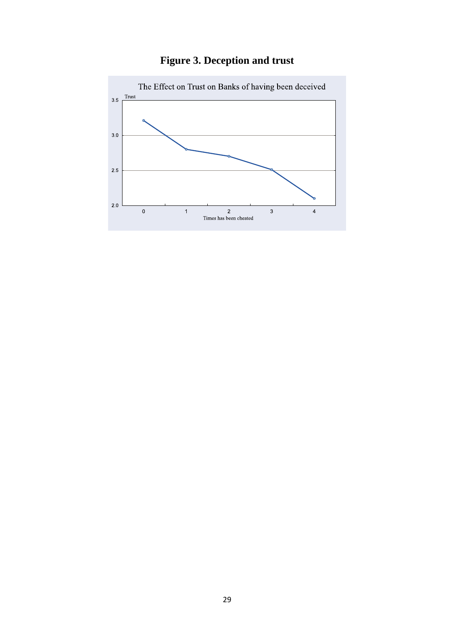

# **Figure 3. Deception and trust**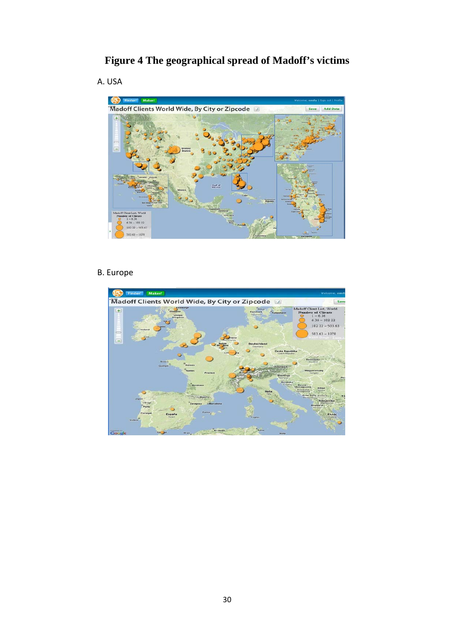# **Figure 4 The geographical spread of Madoff's victims**

A. USA



# B. Europe

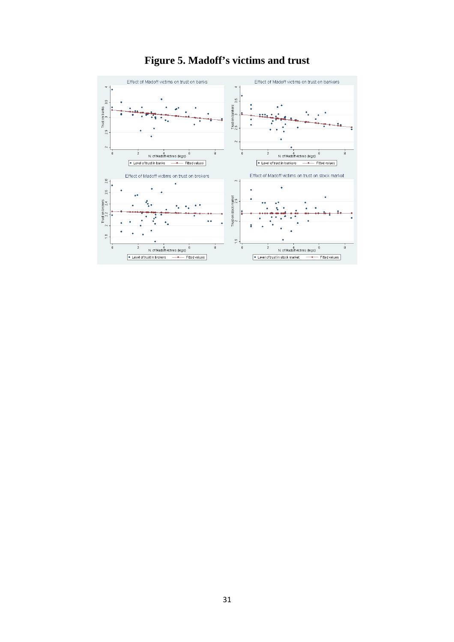

# **Figure 5. Madoff's victims and trust**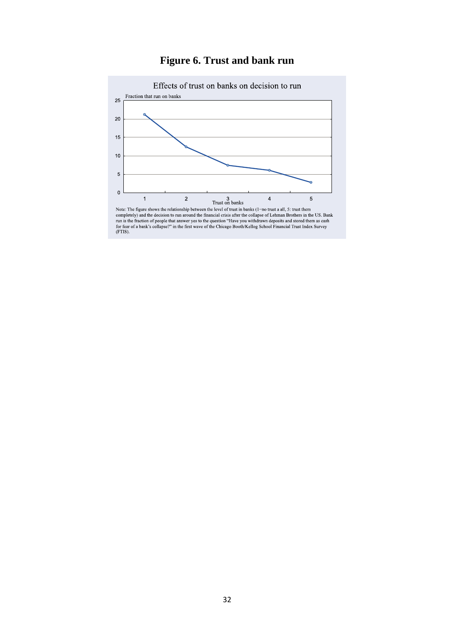

# **Figure 6. Trust and bank run**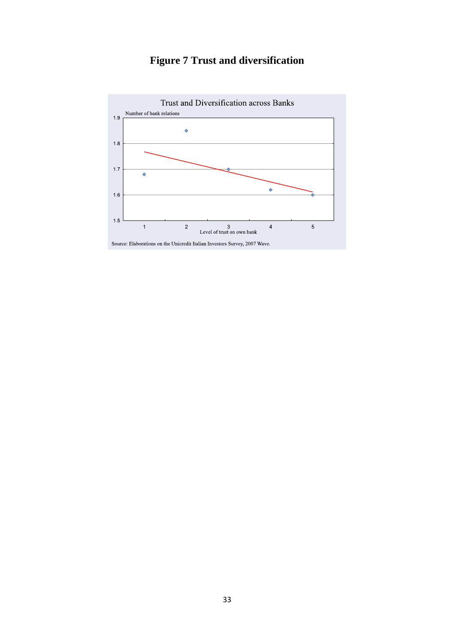

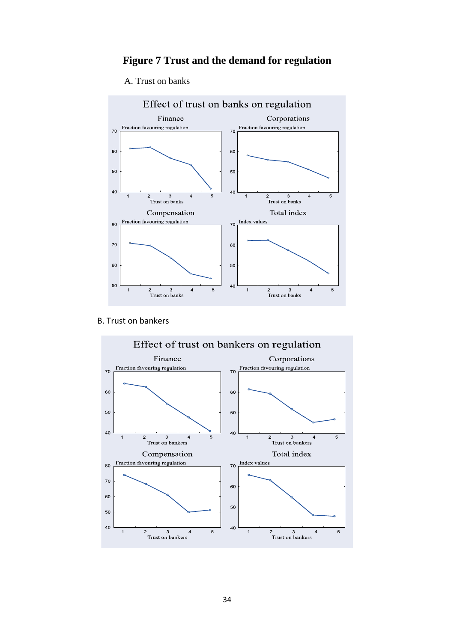# **Figure 7 Trust and the demand for regulation**

#### A. Trust on banks



B. Trust on bankers